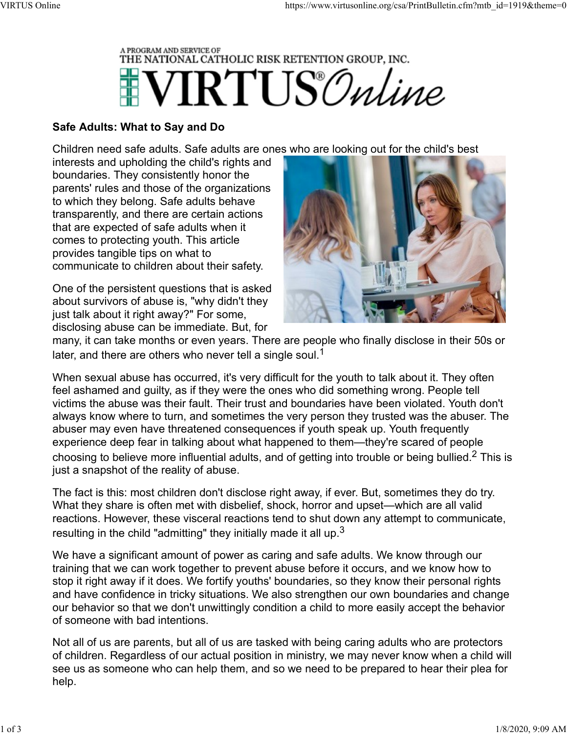

## Safe Adults: What to Say and Do

Children need safe adults. Safe adults are ones who are looking out for the child's best

interests and upholding the child's rights and boundaries. They consistently honor the parents' rules and those of the organizations to which they belong. Safe adults behave transparently, and there are certain actions that are expected of safe adults when it comes to protecting youth. This article provides tangible tips on what to communicate to children about their safety.

One of the persistent questions that is asked about survivors of abuse is, "why didn't they just talk about it right away?" For some, disclosing abuse can be immediate. But, for



many, it can take months or even years. There are people who finally disclose in their 50s or later, and there are others who never tell a single soul.<sup>1</sup>

When sexual abuse has occurred, it's very difficult for the youth to talk about it. They often feel ashamed and guilty, as if they were the ones who did something wrong. People tell victims the abuse was their fault. Their trust and boundaries have been violated. Youth don't always know where to turn, and sometimes the very person they trusted was the abuser. The abuser may even have threatened consequences if youth speak up. Youth frequently experience deep fear in talking about what happened to them—they're scared of people choosing to believe more influential adults, and of getting into trouble or being bullied.2 This is just a snapshot of the reality of abuse.

The fact is this: most children don't disclose right away, if ever. But, sometimes they do try. What they share is often met with disbelief, shock, horror and upset—which are all valid reactions. However, these visceral reactions tend to shut down any attempt to communicate, resulting in the child "admitting" they initially made it all up. $3$ 

We have a significant amount of power as caring and safe adults. We know through our training that we can work together to prevent abuse before it occurs, and we know how to stop it right away if it does. We fortify youths' boundaries, so they know their personal rights and have confidence in tricky situations. We also strengthen our own boundaries and change our behavior so that we don't unwittingly condition a child to more easily accept the behavior of someone with bad intentions.

Not all of us are parents, but all of us are tasked with being caring adults who are protectors of children. Regardless of our actual position in ministry, we may never know when a child will see us as someone who can help them, and so we need to be prepared to hear their plea for help.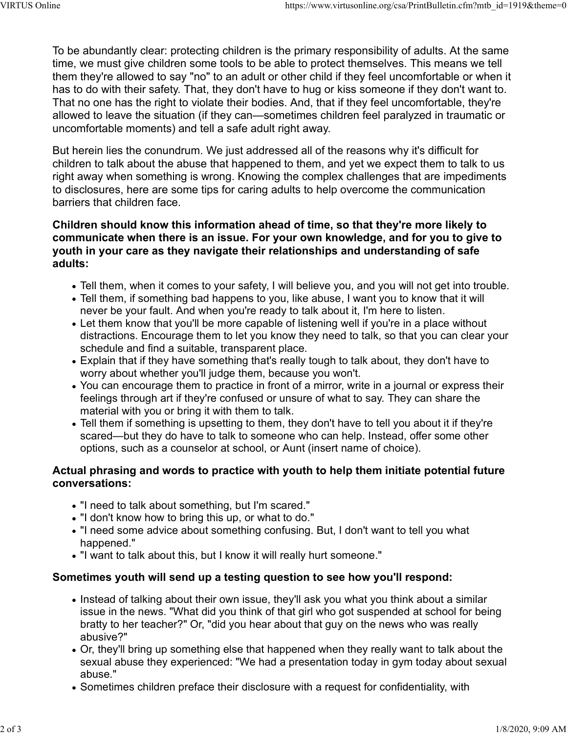To be abundantly clear: protecting children is the primary responsibility of adults. At the same time, we must give children some tools to be able to protect themselves. This means we tell them they're allowed to say "no" to an adult or other child if they feel uncomfortable or when it has to do with their safety. That, they don't have to hug or kiss someone if they don't want to. That no one has the right to violate their bodies. And, that if they feel uncomfortable, they're allowed to leave the situation (if they can—sometimes children feel paralyzed in traumatic or uncomfortable moments) and tell a safe adult right away. VIRTUS Online<br>To be abundantly clear: protecting children is the primary responsibility of adults. At the same<br>time. we must give children some tools to be able to protect themselves. This means we tell

But herein lies the conundrum. We just addressed all of the reasons why it's difficult for children to talk about the abuse that happened to them, and yet we expect them to talk to us right away when something is wrong. Knowing the complex challenges that are impediments to disclosures, here are some tips for caring adults to help overcome the communication barriers that children face.

## Children should know this information ahead of time, so that they're more likely to communicate when there is an issue. For your own knowledge, and for you to give to youth in your care as they navigate their relationships and understanding of safe adults:

- Tell them, when it comes to your safety, I will believe you, and you will not get into trouble.
- Tell them, if something bad happens to you, like abuse, I want you to know that it will never be your fault. And when you're ready to talk about it, I'm here to listen.
- Let them know that you'll be more capable of listening well if you're in a place without distractions. Encourage them to let you know they need to talk, so that you can clear your schedule and find a suitable, transparent place.
- Explain that if they have something that's really tough to talk about, they don't have to worry about whether you'll judge them, because you won't.
- You can encourage them to practice in front of a mirror, write in a journal or express their feelings through art if they're confused or unsure of what to say. They can share the material with you or bring it with them to talk.
- Tell them if something is upsetting to them, they don't have to tell you about it if they're scared—but they do have to talk to someone who can help. Instead, offer some other options, such as a counselor at school, or Aunt (insert name of choice).

## Actual phrasing and words to practice with youth to help them initiate potential future conversations:

- "I need to talk about something, but I'm scared."
- "I don't know how to bring this up, or what to do."
- "I need some advice about something confusing. But, I don't want to tell you what happened."
- "I want to talk about this, but I know it will really hurt someone."

# Sometimes youth will send up a testing question to see how you'll respond:

- Instead of talking about their own issue, they'll ask you what you think about a similar issue in the news. "What did you think of that girl who got suspended at school for being bratty to her teacher?" Or, "did you hear about that guy on the news who was really abusive?"
- Or, they'll bring up something else that happened when they really want to talk about the sexual abuse they experienced: "We had a presentation today in gym today about sexual abuse."
- Sometimes children preface their disclosure with a request for confidentiality, with